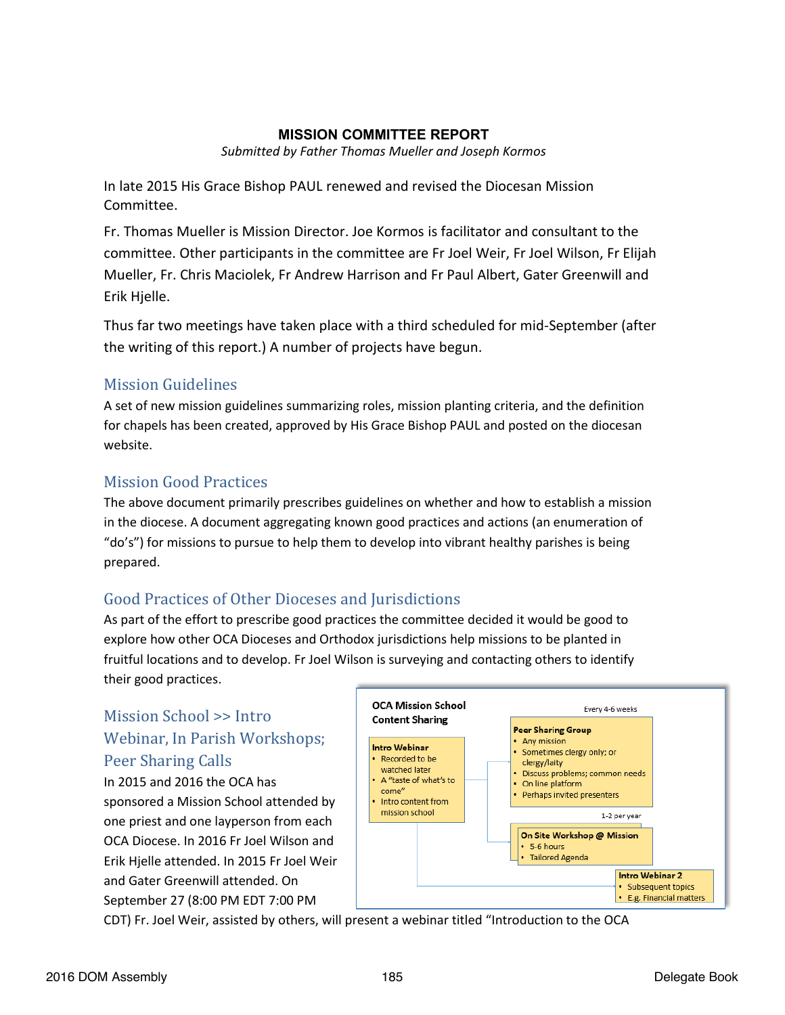#### **MISSION COMMITTEE REPORT**

*Submitted by Father Thomas Mueller and Joseph Kormos*

In late 2015 His Grace Bishop PAUL renewed and revised the Diocesan Mission Committee.

Fr. Thomas Mueller is Mission Director. Joe Kormos is facilitator and consultant to the committee. Other participants in the committee are Fr Joel Weir, Fr Joel Wilson, Fr Elijah Mueller, Fr. Chris Maciolek, Fr Andrew Harrison and Fr Paul Albert, Gater Greenwill and Erik Hjelle.

Thus far two meetings have taken place with a third scheduled for mid-September (after the writing of this report.) A number of projects have begun.

## Mission Guidelines

A set of new mission guidelines summarizing roles, mission planting criteria, and the definition for chapels has been created, approved by His Grace Bishop PAUL and posted on the diocesan website.

## Mission Good Practices

The above document primarily prescribes guidelines on whether and how to establish a mission in the diocese. A document aggregating known good practices and actions (an enumeration of "do's") for missions to pursue to help them to develop into vibrant healthy parishes is being prepared.

# Good Practices of Other Dioceses and Jurisdictions

As part of the effort to prescribe good practices the committee decided it would be good to explore how other OCA Dioceses and Orthodox jurisdictions help missions to be planted in fruitful locations and to develop. Fr Joel Wilson is surveying and contacting others to identify their good practices.

# Mission School >> Intro Webinar, In Parish Workshops; Peer Sharing Calls

In 2015 and 2016 the OCA has sponsored a Mission School attended by one priest and one layperson from each OCA Diocese. In 2016 Fr Joel Wilson and Erik Hjelle attended. In 2015 Fr Joel Weir and Gater Greenwill attended. On September 27 (8:00 PM EDT 7:00 PM



CDT) Fr. Joel Weir, assisted by others, will present a webinar titled "Introduction to the OCA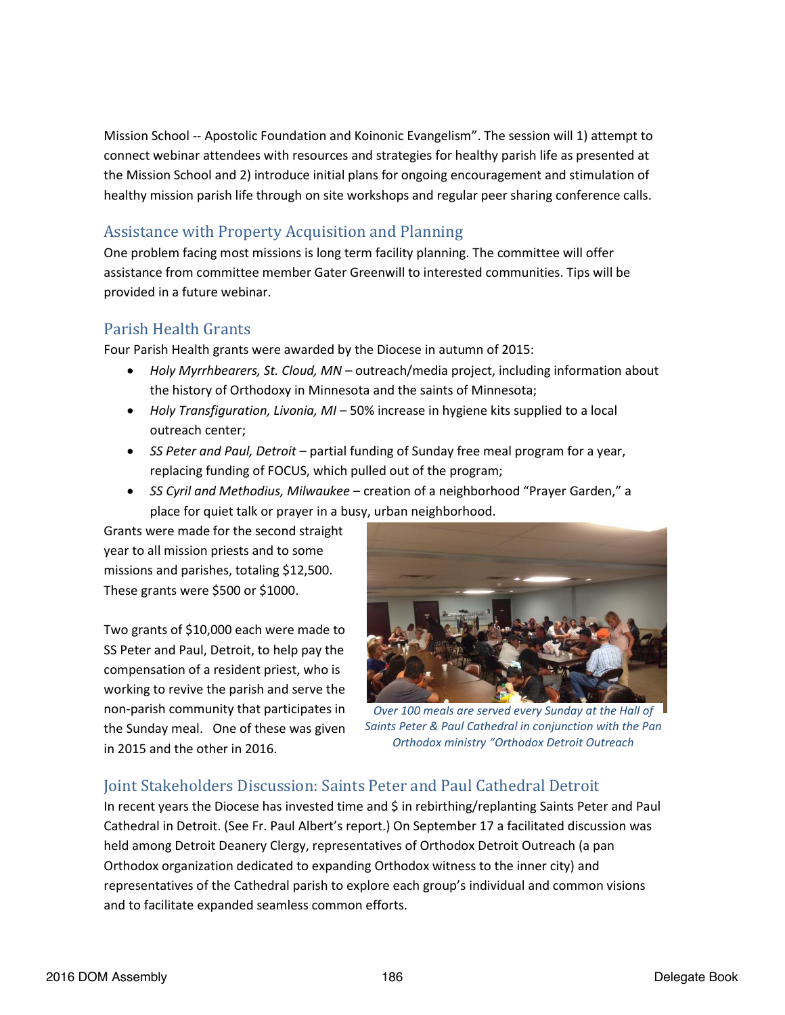Mission School -- Apostolic Foundation and Koinonic Evangelism". The session will 1) attempt to connect webinar attendees with resources and strategies for healthy parish life as presented at the Mission School and 2) introduce initial plans for ongoing encouragement and stimulation of healthy mission parish life through on site workshops and regular peer sharing conference calls.

### Assistance with Property Acquisition and Planning

One problem facing most missions is long term facility planning. The committee will offer assistance from committee member Gater Greenwill to interested communities. Tips will be provided in a future webinar.

### Parish Health Grants

Four Parish Health grants were awarded by the Diocese in autumn of 2015:

- x *Holy Myrrhbearers, St. Cloud, MN* outreach/media project, including information about the history of Orthodoxy in Minnesota and the saints of Minnesota;
- *Holy Transfiguration, Livonia, MI* 50% increase in hygiene kits supplied to a local outreach center;
- x *SS Peter and Paul, Detroit*  partial funding of Sunday free meal program for a year, replacing funding of FOCUS, which pulled out of the program;
- x *SS Cyril and Methodius, Milwaukee* creation of a neighborhood "Prayer Garden," a place for quiet talk or prayer in a busy, urban neighborhood.

Grants were made for the second straight year to all mission priests and to some missions and parishes, totaling \$12,500. These grants were \$500 or \$1000.

Two grants of \$10,000 each were made to SS Peter and Paul, Detroit, to help pay the compensation of a resident priest, who is working to revive the parish and serve the non-parish community that participates in the Sunday meal. One of these was given in 2015 and the other in 2016.



*Over 100 meals are served every Sunday at the Hall of Saints Peter & Paul Cathedral in conjunction with the Pan Orthodox ministry "Orthodox Detroit Outreach*

### Joint Stakeholders Discussion: Saints Peter and Paul Cathedral Detroit

In recent years the Diocese has invested time and \$ in rebirthing/replanting Saints Peter and Paul Cathedral in Detroit. (See Fr. Paul Albert's report.) On September 17 a facilitated discussion was held among Detroit Deanery Clergy, representatives of Orthodox Detroit Outreach (a pan Orthodox organization dedicated to expanding Orthodox witness to the inner city) and representatives of the Cathedral parish to explore each group's individual and common visions and to facilitate expanded seamless common efforts.